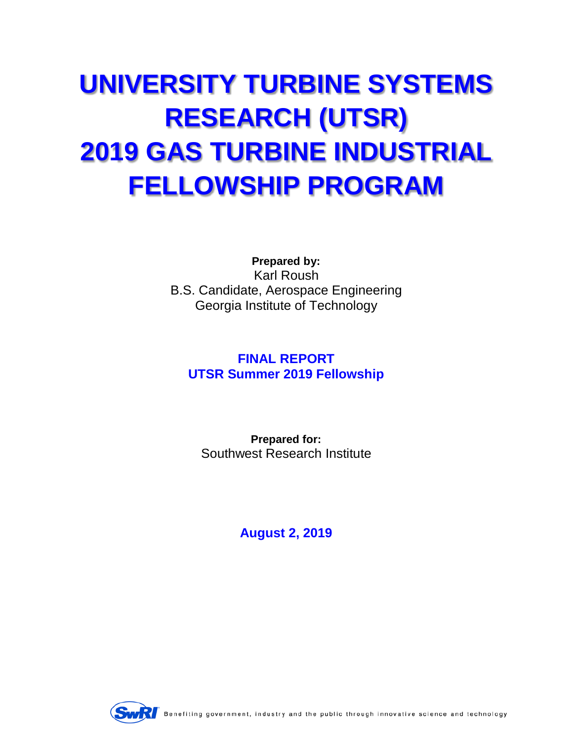# **UNIVERSITY TURBINE SYSTEMS RESEARCH (UTSR) 2019 GAS TURBINE INDUSTRIAL FELLOWSHIP PROGRAM**

**Prepared by:** Karl Roush B.S. Candidate, Aerospace Engineering Georgia Institute of Technology

## **FINAL REPORT UTSR Summer 2019 Fellowship**

**Prepared for:** Southwest Research Institute

**August 2, 2019**



Benefiting government, industry and the public through innovative science and technology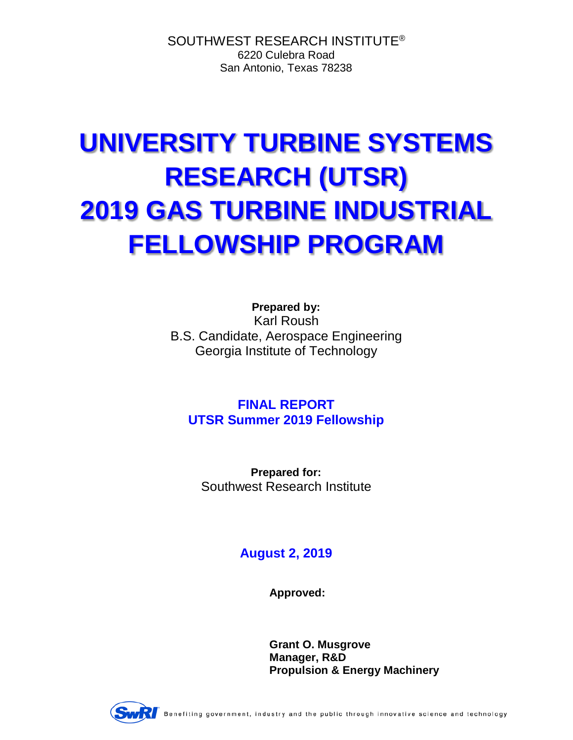SOUTHWEST RESEARCH INSTITUTE® 6220 Culebra Road San Antonio, Texas 78238

# **UNIVERSITY TURBINE SYSTEMS RESEARCH (UTSR) 2019 GAS TURBINE INDUSTRIAL FELLOWSHIP PROGRAM**

**Prepared by:** Karl Roush B.S. Candidate, Aerospace Engineering Georgia Institute of Technology

**FINAL REPORT UTSR Summer 2019 Fellowship**

**Prepared for:** Southwest Research Institute

## **August 2, 2019**

**Approved:**

**Grant O. Musgrove Manager, R&D Propulsion & Energy Machinery**



Benefiting government, industry and the public through innovative science and technology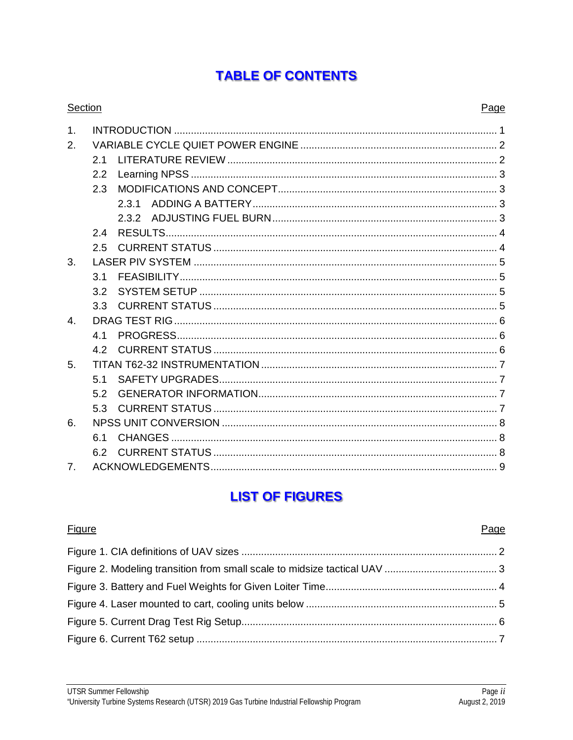# **TABLE OF CONTENTS**

| <b>Section</b> |     |       | Page |
|----------------|-----|-------|------|
| 1 <sub>1</sub> |     |       |      |
| 2.             |     |       |      |
|                | 2.1 |       |      |
|                | 2.2 |       |      |
|                | 2.3 |       |      |
|                |     | 2.3.1 |      |
|                |     |       |      |
|                | 2.4 |       |      |
|                | 2.5 |       |      |
| 3.             |     |       |      |
|                | 3.1 |       |      |
|                | 3.2 |       |      |
|                | 3.3 |       |      |
| $\overline{4}$ |     |       |      |
|                | 4.1 |       |      |
|                | 4.2 |       |      |
| 5.             |     |       |      |
|                | 5.1 |       |      |
|                | 5.2 |       |      |
|                | 5.3 |       |      |
| 6.             |     |       |      |
|                | 6.1 |       |      |
|                | 6.2 |       |      |
| 7.             |     |       |      |

# **LIST OF FIGURES**

**Figure** 

Page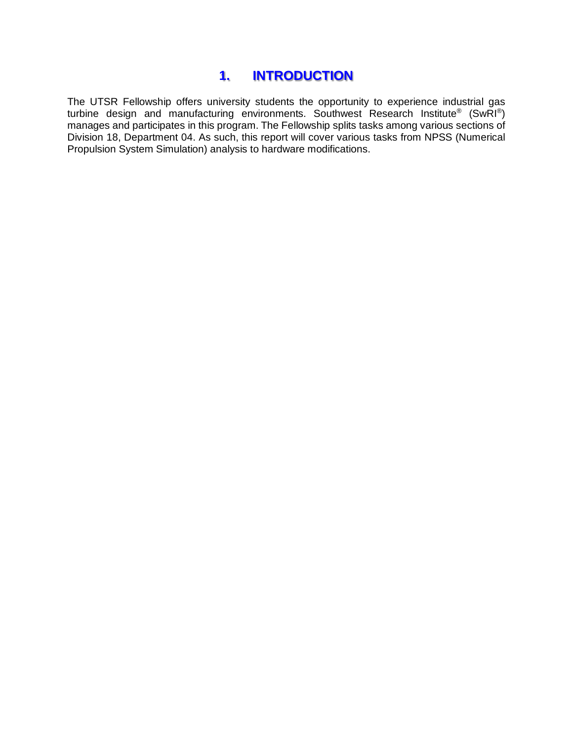### **1. INTRODUCTION**

<span id="page-3-0"></span>The UTSR Fellowship offers university students the opportunity to experience industrial gas turbine design and manufacturing environments. Southwest Research Institute® (SwRI®) manages and participates in this program. The Fellowship splits tasks among various sections of Division 18, Department 04. As such, this report will cover various tasks from NPSS (Numerical Propulsion System Simulation) analysis to hardware modifications.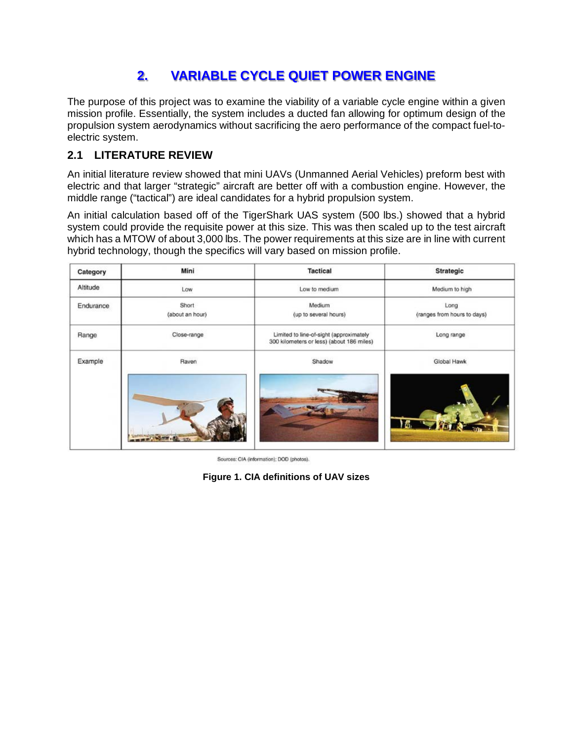# **2. VARIABLE CYCLE QUIET POWER ENGINE**

<span id="page-4-0"></span>The purpose of this project was to examine the viability of a variable cycle engine within a given mission profile. Essentially, the system includes a ducted fan allowing for optimum design of the propulsion system aerodynamics without sacrificing the aero performance of the compact fuel-toelectric system.

#### <span id="page-4-1"></span>**2.1 LITERATURE REVIEW**

An initial literature review showed that mini UAVs (Unmanned Aerial Vehicles) preform best with electric and that larger "strategic" aircraft are better off with a combustion engine. However, the middle range ("tactical") are ideal candidates for a hybrid propulsion system.

An initial calculation based off of the TigerShark UAS system (500 lbs.) showed that a hybrid system could provide the requisite power at this size. This was then scaled up to the test aircraft which has a MTOW of about 3,000 lbs. The power requirements at this size are in line with current hybrid technology, though the specifics will vary based on mission profile.

| Category  | Mini                     | <b>Tactical</b>                                                                      | Strategic                           |
|-----------|--------------------------|--------------------------------------------------------------------------------------|-------------------------------------|
| Altitude  | Low                      | Low to medium                                                                        | Medium to high                      |
| Endurance | Short<br>(about an hour) | Medium<br>(up to several hours)                                                      | Long<br>(ranges from hours to days) |
| Range     | Close-range              | Limited to line-of-sight (approximately<br>300 kilometers or less) (about 186 miles) | Long range                          |
| Example   | Raven                    | Shadow                                                                               | Global Hawk                         |
|           |                          |                                                                                      | 括                                   |

Sources: CIA (information); DOD (photos).

<span id="page-4-2"></span>**Figure 1. CIA definitions of UAV sizes**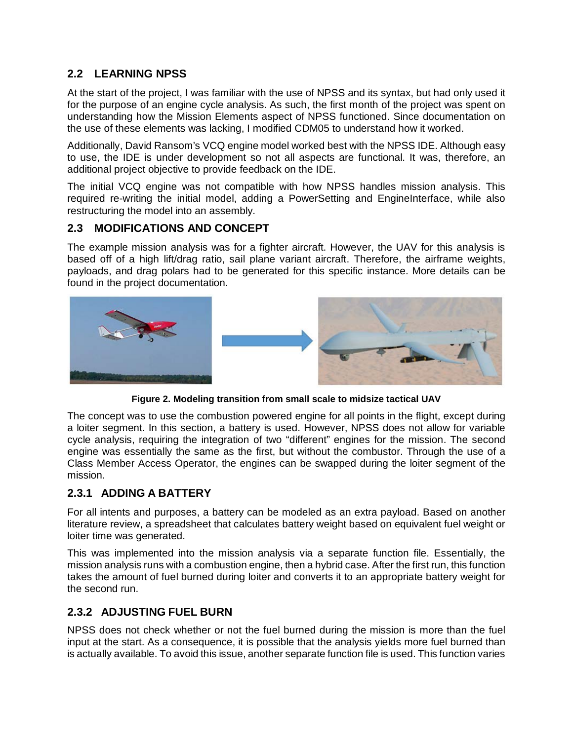#### <span id="page-5-0"></span>**2.2 LEARNING NPSS**

At the start of the project, I was familiar with the use of NPSS and its syntax, but had only used it for the purpose of an engine cycle analysis. As such, the first month of the project was spent on understanding how the Mission Elements aspect of NPSS functioned. Since documentation on the use of these elements was lacking, I modified CDM05 to understand how it worked.

Additionally, David Ransom's VCQ engine model worked best with the NPSS IDE. Although easy to use, the IDE is under development so not all aspects are functional. It was, therefore, an additional project objective to provide feedback on the IDE.

The initial VCQ engine was not compatible with how NPSS handles mission analysis. This required re-writing the initial model, adding a PowerSetting and EngineInterface, while also restructuring the model into an assembly.

#### <span id="page-5-1"></span>**2.3 MODIFICATIONS AND CONCEPT**

The example mission analysis was for a fighter aircraft. However, the UAV for this analysis is based off of a high lift/drag ratio, sail plane variant aircraft. Therefore, the airframe weights, payloads, and drag polars had to be generated for this specific instance. More details can be found in the project documentation.



**Figure 2. Modeling transition from small scale to midsize tactical UAV**

<span id="page-5-4"></span>The concept was to use the combustion powered engine for all points in the flight, except during a loiter segment. In this section, a battery is used. However, NPSS does not allow for variable cycle analysis, requiring the integration of two "different" engines for the mission. The second engine was essentially the same as the first, but without the combustor. Through the use of a Class Member Access Operator, the engines can be swapped during the loiter segment of the mission.

#### <span id="page-5-2"></span>**2.3.1 ADDING A BATTERY**

For all intents and purposes, a battery can be modeled as an extra payload. Based on another literature review, a spreadsheet that calculates battery weight based on equivalent fuel weight or loiter time was generated.

This was implemented into the mission analysis via a separate function file. Essentially, the mission analysis runs with a combustion engine, then a hybrid case. After the first run, this function takes the amount of fuel burned during loiter and converts it to an appropriate battery weight for the second run.

#### <span id="page-5-3"></span>**2.3.2 ADJUSTING FUEL BURN**

NPSS does not check whether or not the fuel burned during the mission is more than the fuel input at the start. As a consequence, it is possible that the analysis yields more fuel burned than is actually available. To avoid this issue, another separate function file is used. This function varies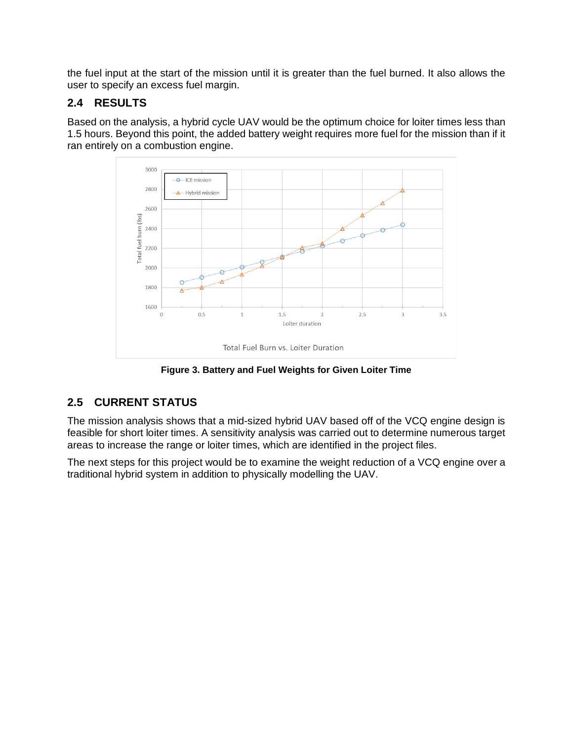the fuel input at the start of the mission until it is greater than the fuel burned. It also allows the user to specify an excess fuel margin.

#### <span id="page-6-0"></span>**2.4 RESULTS**

Based on the analysis, a hybrid cycle UAV would be the optimum choice for loiter times less than 1.5 hours. Beyond this point, the added battery weight requires more fuel for the mission than if it ran entirely on a combustion engine.



**Figure 3. Battery and Fuel Weights for Given Loiter Time**

#### <span id="page-6-2"></span><span id="page-6-1"></span>**2.5 CURRENT STATUS**

The mission analysis shows that a mid-sized hybrid UAV based off of the VCQ engine design is feasible for short loiter times. A sensitivity analysis was carried out to determine numerous target areas to increase the range or loiter times, which are identified in the project files.

The next steps for this project would be to examine the weight reduction of a VCQ engine over a traditional hybrid system in addition to physically modelling the UAV.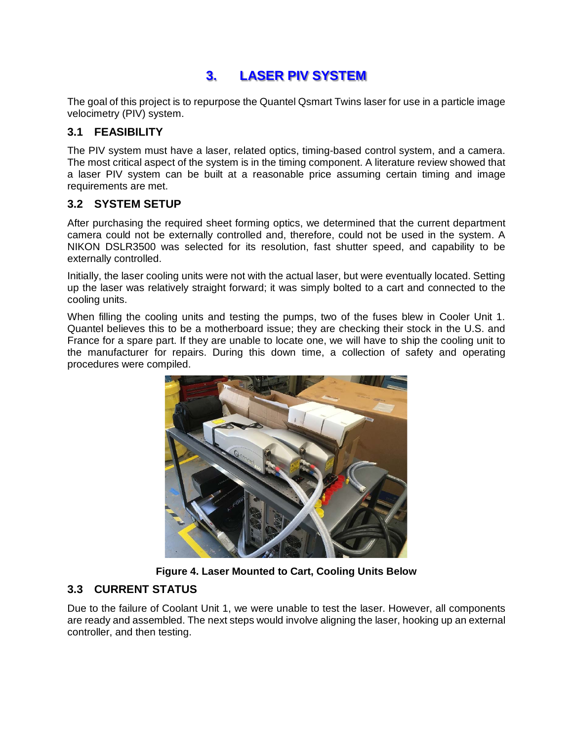## **3. LASER PIV SYSTEM**

<span id="page-7-0"></span>The goal of this project is to repurpose the Quantel Qsmart Twins laser for use in a particle image velocimetry (PIV) system.

#### <span id="page-7-1"></span>**3.1 FEASIBILITY**

The PIV system must have a laser, related optics, timing-based control system, and a camera. The most critical aspect of the system is in the timing component. A literature review showed that a laser PIV system can be built at a reasonable price assuming certain timing and image requirements are met.

#### <span id="page-7-2"></span>**3.2 SYSTEM SETUP**

After purchasing the required sheet forming optics, we determined that the current department camera could not be externally controlled and, therefore, could not be used in the system. A NIKON DSLR3500 was selected for its resolution, fast shutter speed, and capability to be externally controlled.

Initially, the laser cooling units were not with the actual laser, but were eventually located. Setting up the laser was relatively straight forward; it was simply bolted to a cart and connected to the cooling units.

When filling the cooling units and testing the pumps, two of the fuses blew in Cooler Unit 1. Quantel believes this to be a motherboard issue; they are checking their stock in the U.S. and France for a spare part. If they are unable to locate one, we will have to ship the cooling unit to the manufacturer for repairs. During this down time, a collection of safety and operating procedures were compiled.



**Figure 4. Laser Mounted to Cart, Cooling Units Below**

#### <span id="page-7-4"></span><span id="page-7-3"></span>**3.3 CURRENT STATUS**

Due to the failure of Coolant Unit 1, we were unable to test the laser. However, all components are ready and assembled. The next steps would involve aligning the laser, hooking up an external controller, and then testing.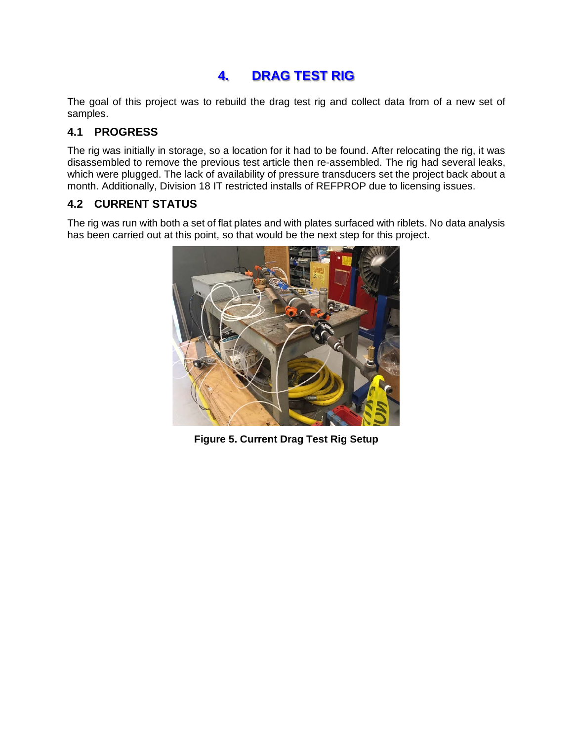## **4. DRAG TEST RIG**

<span id="page-8-0"></span>The goal of this project was to rebuild the drag test rig and collect data from of a new set of samples.

#### <span id="page-8-1"></span>**4.1 PROGRESS**

The rig was initially in storage, so a location for it had to be found. After relocating the rig, it was disassembled to remove the previous test article then re-assembled. The rig had several leaks, which were plugged. The lack of availability of pressure transducers set the project back about a month. Additionally, Division 18 IT restricted installs of REFPROP due to licensing issues.

#### <span id="page-8-2"></span>**4.2 CURRENT STATUS**

<span id="page-8-3"></span>The rig was run with both a set of flat plates and with plates surfaced with riblets. No data analysis has been carried out at this point, so that would be the next step for this project.



**Figure 5. Current Drag Test Rig Setup**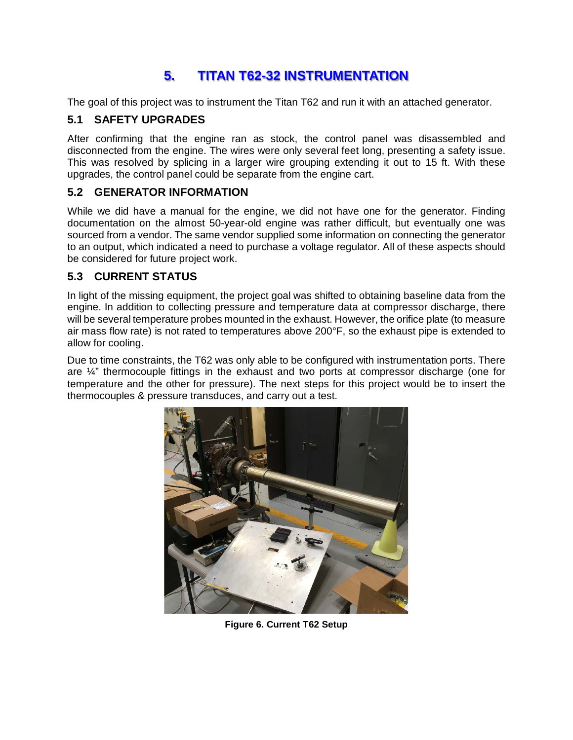# **5. TITAN T62-32 INSTRUMENTATION**

<span id="page-9-0"></span>The goal of this project was to instrument the Titan T62 and run it with an attached generator.

#### <span id="page-9-1"></span>**5.1 SAFETY UPGRADES**

After confirming that the engine ran as stock, the control panel was disassembled and disconnected from the engine. The wires were only several feet long, presenting a safety issue. This was resolved by splicing in a larger wire grouping extending it out to 15 ft. With these upgrades, the control panel could be separate from the engine cart.

#### <span id="page-9-2"></span>**5.2 GENERATOR INFORMATION**

While we did have a manual for the engine, we did not have one for the generator. Finding documentation on the almost 50-year-old engine was rather difficult, but eventually one was sourced from a vendor. The same vendor supplied some information on connecting the generator to an output, which indicated a need to purchase a voltage regulator. All of these aspects should be considered for future project work.

#### <span id="page-9-3"></span>**5.3 CURRENT STATUS**

In light of the missing equipment, the project goal was shifted to obtaining baseline data from the engine. In addition to collecting pressure and temperature data at compressor discharge, there will be several temperature probes mounted in the exhaust. However, the orifice plate (to measure air mass flow rate) is not rated to temperatures above 200°F, so the exhaust pipe is extended to allow for cooling.

Due to time constraints, the T62 was only able to be configured with instrumentation ports. There are ¼" thermocouple fittings in the exhaust and two ports at compressor discharge (one for temperature and the other for pressure). The next steps for this project would be to insert the thermocouples & pressure transduces, and carry out a test.

<span id="page-9-4"></span>

**Figure 6. Current T62 Setup**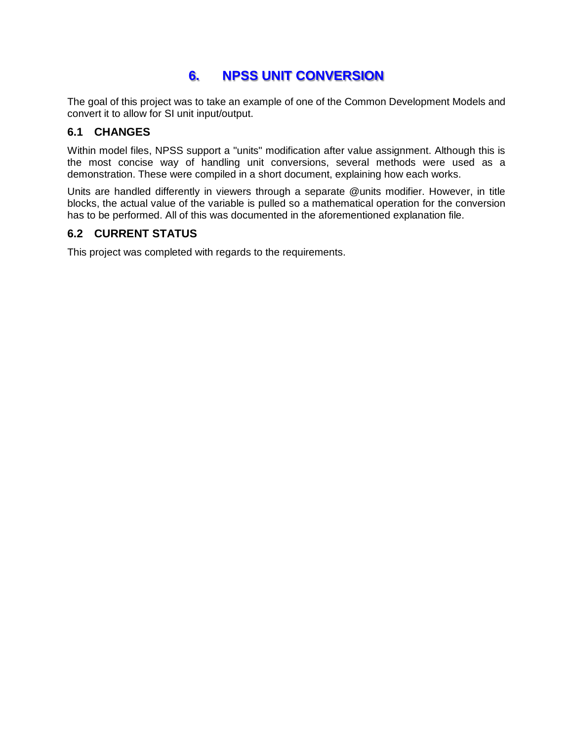## **6. NPSS UNIT CONVERSION**

<span id="page-10-0"></span>The goal of this project was to take an example of one of the Common Development Models and convert it to allow for SI unit input/output.

#### <span id="page-10-1"></span>**6.1 CHANGES**

Within model files, NPSS support a "units" modification after value assignment. Although this is the most concise way of handling unit conversions, several methods were used as a demonstration. These were compiled in a short document, explaining how each works.

Units are handled differently in viewers through a separate @units modifier. However, in title blocks, the actual value of the variable is pulled so a mathematical operation for the conversion has to be performed. All of this was documented in the aforementioned explanation file.

#### <span id="page-10-2"></span>**6.2 CURRENT STATUS**

This project was completed with regards to the requirements.